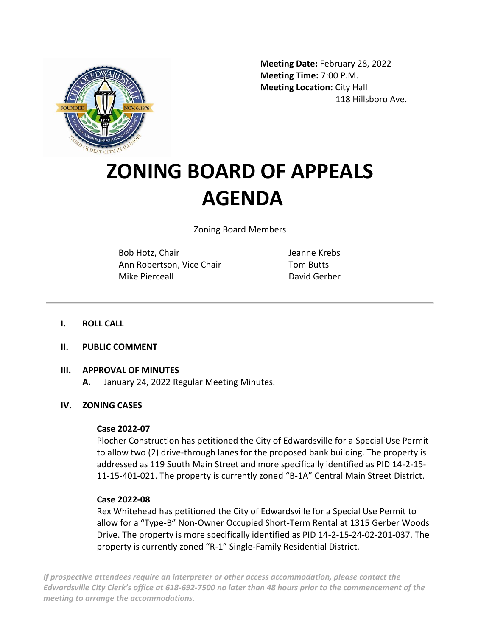

**Meeting Date:** February 28, 2022 **Meeting Time:** 7:00 P.M. **Meeting Location:** City Hall 118 Hillsboro Ave.

# **ZONING BOARD OF APPEALS AGENDA**

Zoning Board Members

Bob Hotz, Chair Ann Robertson, Vice Chair Mike Pierceall

Jeanne Krebs Tom Butts David Gerber

## **I. ROLL CALL**

**II. PUBLIC COMMENT**

## **III. APPROVAL OF MINUTES**

**A.** January 24, 2022 Regular Meeting Minutes.

## **IV. ZONING CASES**

## **Case 2022-07**

Plocher Construction has petitioned the City of Edwardsville for a Special Use Permit to allow two (2) drive-through lanes for the proposed bank building. The property is addressed as 119 South Main Street and more specifically identified as PID 14-2-15- 11-15-401-021. The property is currently zoned "B-1A" Central Main Street District.

## **Case 2022-08**

Rex Whitehead has petitioned the City of Edwardsville for a Special Use Permit to allow for a "Type-B" Non-Owner Occupied Short-Term Rental at 1315 Gerber Woods Drive. The property is more specifically identified as PID 14-2-15-24-02-201-037. The property is currently zoned "R-1" Single-Family Residential District.

*If prospective attendees require an interpreter or other access accommodation, please contact the Edwardsville City Clerk's office at 618-692-7500 no later than 48 hours prior to the commencement of the meeting to arrange the accommodations.*